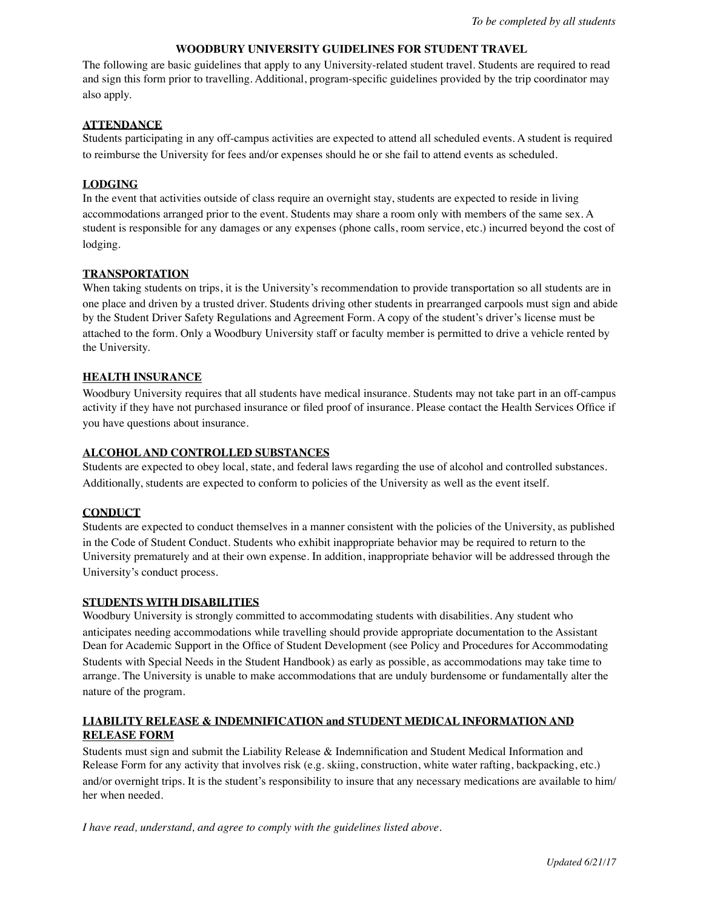### **WOODBURY UNIVERSITY GUIDELINES FOR STUDENT TRAVEL**

The following are basic guidelines that apply to any University-related student travel. Students are required to read and sign this form prior to travelling. Additional, program-specific guidelines provided by the trip coordinator may also apply.

## **ATTENDANCE**

Students participating in any off-campus activities are expected to attend all scheduled events. A student is required to reimburse the University for fees and/or expenses should he or she fail to attend events as scheduled.

## **LODGING**

In the event that activities outside of class require an overnight stay, students are expected to reside in living accommodations arranged prior to the event. Students may share a room only with members of the same sex. A student is responsible for any damages or any expenses (phone calls, room service, etc.) incurred beyond the cost of lodging.

## **TRANSPORTATION**

When taking students on trips, it is the University's recommendation to provide transportation so all students are in one place and driven by a trusted driver. Students driving other students in prearranged carpools must sign and abide by the Student Driver Safety Regulations and Agreement Form. A copy of the student's driver's license must be attached to the form. Only a Woodbury University staff or faculty member is permitted to drive a vehicle rented by the University.

## **HEALTH INSURANCE**

Woodbury University requires that all students have medical insurance. Students may not take part in an off-campus activity if they have not purchased insurance or filed proof of insurance. Please contact the Health Services Office if you have questions about insurance.

## **ALCOHOL AND CONTROLLED SUBSTANCES**

Students are expected to obey local, state, and federal laws regarding the use of alcohol and controlled substances. Additionally, students are expected to conform to policies of the University as well as the event itself.

## **CONDUCT**

Students are expected to conduct themselves in a manner consistent with the policies of the University, as published in the Code of Student Conduct. Students who exhibit inappropriate behavior may be required to return to the University prematurely and at their own expense. In addition, inappropriate behavior will be addressed through the University's conduct process.

#### **STUDENTS WITH DISABILITIES**

Woodbury University is strongly committed to accommodating students with disabilities. Any student who anticipates needing accommodations while travelling should provide appropriate documentation to the Assistant Dean for Academic Support in the Office of Student Development (see Policy and Procedures for Accommodating Students with Special Needs in the Student Handbook) as early as possible, as accommodations may take time to arrange. The University is unable to make accommodations that are unduly burdensome or fundamentally alter the nature of the program.

# **LIABILITY RELEASE & INDEMNIFICATION and STUDENT MEDICAL INFORMATION AND RELEASE FORM**

Students must sign and submit the Liability Release & Indemnification and Student Medical Information and Release Form for any activity that involves risk (e.g. skiing, construction, white water rafting, backpacking, etc.) and/or overnight trips. It is the student's responsibility to insure that any necessary medications are available to him/ her when needed.

*I have read, understand, and agree to comply with the guidelines listed above.*